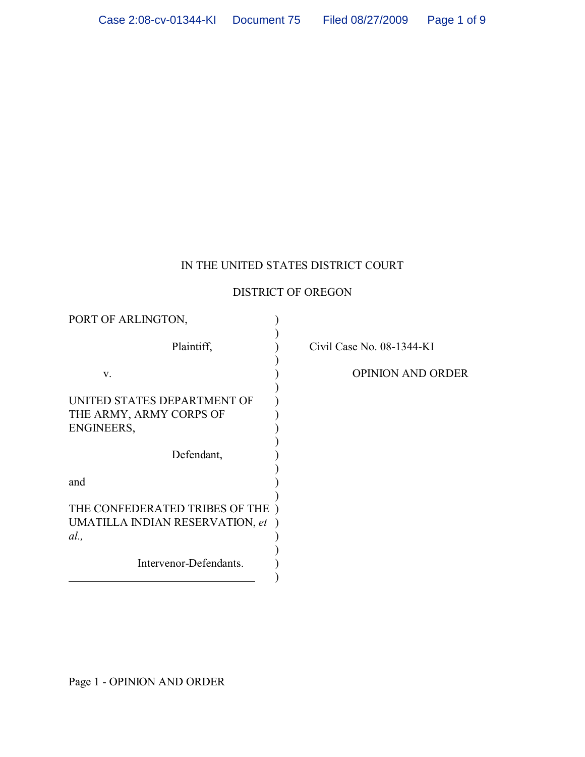# IN THE UNITED STATES DISTRICT COURT

## DISTRICT OF OREGON

| PORT OF ARLINGTON,              |       |
|---------------------------------|-------|
| Plaintiff,                      | Civil |
| V.                              |       |
| UNITED STATES DEPARTMENT OF     |       |
| THE ARMY, ARMY CORPS OF         |       |
| ENGINEERS,                      |       |
| Defendant,                      |       |
| and                             |       |
| THE CONFEDERATED TRIBES OF THE  |       |
| UMATILLA INDIAN RESERVATION, et |       |
| al.,                            |       |
| Intervenor-Defendants.          |       |
|                                 |       |

Case No. 08-1344-KI

OPINION AND ORDER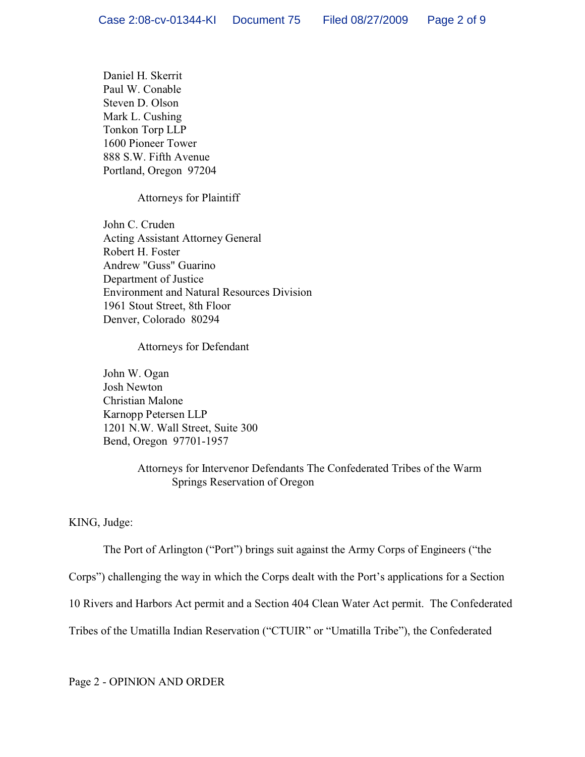Daniel H. Skerrit Paul W. Conable Steven D. Olson Mark L. Cushing Tonkon Torp LLP 1600 Pioneer Tower 888 S.W. Fifth Avenue Portland, Oregon 97204

## Attorneys for Plaintiff

John C. Cruden Acting Assistant Attorney General Robert H. Foster Andrew "Guss" Guarino Department of Justice Environment and Natural Resources Division 1961 Stout Street, 8th Floor Denver, Colorado 80294

## Attorneys for Defendant

John W. Ogan Josh Newton Christian Malone Karnopp Petersen LLP 1201 N.W. Wall Street, Suite 300 Bend, Oregon 97701-1957

## Attorneys for Intervenor Defendants The Confederated Tribes of the Warm Springs Reservation of Oregon

KING, Judge:

The Port of Arlington ("Port") brings suit against the Army Corps of Engineers ("the

Corps") challenging the way in which the Corps dealt with the Port's applications for a Section

10 Rivers and Harbors Act permit and a Section 404 Clean Water Act permit. The Confederated

Tribes of the Umatilla Indian Reservation ("CTUIR" or "Umatilla Tribe"), the Confederated

Page 2 - OPINION AND ORDER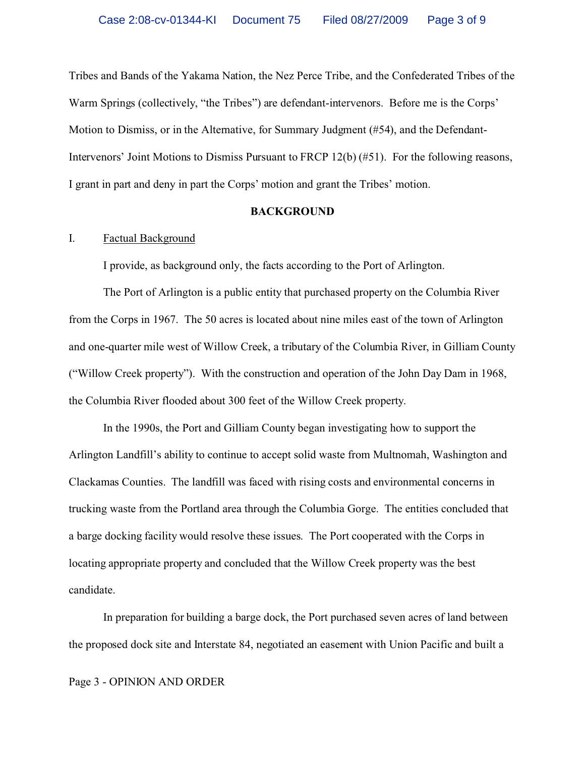Tribes and Bands of the Yakama Nation, the Nez Perce Tribe, and the Confederated Tribes of the Warm Springs (collectively, "the Tribes") are defendant-intervenors. Before me is the Corps' Motion to Dismiss, or in the Alternative, for Summary Judgment (#54), and the Defendant-Intervenors' Joint Motions to Dismiss Pursuant to FRCP 12(b) (#51). For the following reasons, I grant in part and deny in part the Corps' motion and grant the Tribes' motion.

### **BACKGROUND**

## I. Factual Background

I provide, as background only, the facts according to the Port of Arlington.

The Port of Arlington is a public entity that purchased property on the Columbia River from the Corps in 1967. The 50 acres is located about nine miles east of the town of Arlington and one-quarter mile west of Willow Creek, a tributary of the Columbia River, in Gilliam County ("Willow Creek property"). With the construction and operation of the John Day Dam in 1968, the Columbia River flooded about 300 feet of the Willow Creek property.

In the 1990s, the Port and Gilliam County began investigating how to support the Arlington Landfill's ability to continue to accept solid waste from Multnomah, Washington and Clackamas Counties. The landfill was faced with rising costs and environmental concerns in trucking waste from the Portland area through the Columbia Gorge. The entities concluded that a barge docking facility would resolve these issues. The Port cooperated with the Corps in locating appropriate property and concluded that the Willow Creek property was the best candidate.

In preparation for building a barge dock, the Port purchased seven acres of land between the proposed dock site and Interstate 84, negotiated an easement with Union Pacific and built a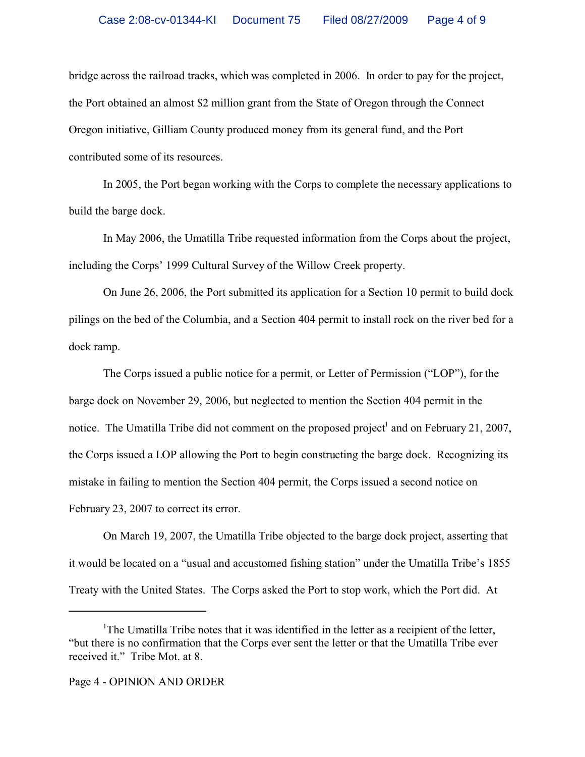bridge across the railroad tracks, which was completed in 2006. In order to pay for the project, the Port obtained an almost \$2 million grant from the State of Oregon through the Connect Oregon initiative, Gilliam County produced money from its general fund, and the Port contributed some of its resources.

In 2005, the Port began working with the Corps to complete the necessary applications to build the barge dock.

In May 2006, the Umatilla Tribe requested information from the Corps about the project, including the Corps' 1999 Cultural Survey of the Willow Creek property.

On June 26, 2006, the Port submitted its application for a Section 10 permit to build dock pilings on the bed of the Columbia, and a Section 404 permit to install rock on the river bed for a dock ramp.

The Corps issued a public notice for a permit, or Letter of Permission ("LOP"), for the barge dock on November 29, 2006, but neglected to mention the Section 404 permit in the notice. The Umatilla Tribe did not comment on the proposed project<sup>1</sup> and on February 21, 2007, the Corps issued a LOP allowing the Port to begin constructing the barge dock. Recognizing its mistake in failing to mention the Section 404 permit, the Corps issued a second notice on February 23, 2007 to correct its error.

On March 19, 2007, the Umatilla Tribe objected to the barge dock project, asserting that it would be located on a "usual and accustomed fishing station" under the Umatilla Tribe's 1855 Treaty with the United States. The Corps asked the Port to stop work, which the Port did. At

<sup>&</sup>lt;sup>1</sup>The Umatilla Tribe notes that it was identified in the letter as a recipient of the letter, "but there is no confirmation that the Corps ever sent the letter or that the Umatilla Tribe ever received it." Tribe Mot. at 8.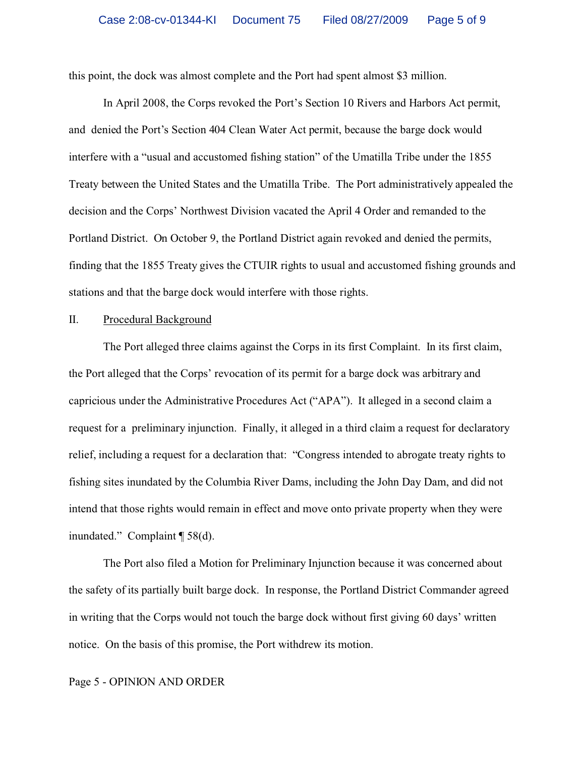this point, the dock was almost complete and the Port had spent almost \$3 million.

In April 2008, the Corps revoked the Port's Section 10 Rivers and Harbors Act permit, and denied the Port's Section 404 Clean Water Act permit, because the barge dock would interfere with a "usual and accustomed fishing station" of the Umatilla Tribe under the 1855 Treaty between the United States and the Umatilla Tribe. The Port administratively appealed the decision and the Corps' Northwest Division vacated the April 4 Order and remanded to the Portland District. On October 9, the Portland District again revoked and denied the permits, finding that the 1855 Treaty gives the CTUIR rights to usual and accustomed fishing grounds and stations and that the barge dock would interfere with those rights.

### II. Procedural Background

The Port alleged three claims against the Corps in its first Complaint. In its first claim, the Port alleged that the Corps' revocation of its permit for a barge dock was arbitrary and capricious under the Administrative Procedures Act ("APA"). It alleged in a second claim a request for a preliminary injunction. Finally, it alleged in a third claim a request for declaratory relief, including a request for a declaration that: "Congress intended to abrogate treaty rights to fishing sites inundated by the Columbia River Dams, including the John Day Dam, and did not intend that those rights would remain in effect and move onto private property when they were inundated." Complaint ¶ 58(d).

The Port also filed a Motion for Preliminary Injunction because it was concerned about the safety of its partially built barge dock. In response, the Portland District Commander agreed in writing that the Corps would not touch the barge dock without first giving 60 days' written notice. On the basis of this promise, the Port withdrew its motion.

### Page 5 - OPINION AND ORDER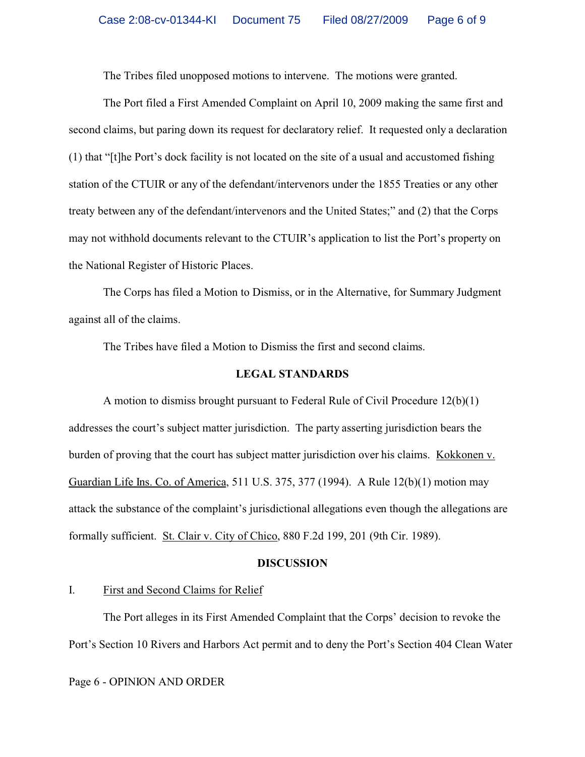The Tribes filed unopposed motions to intervene. The motions were granted.

The Port filed a First Amended Complaint on April 10, 2009 making the same first and second claims, but paring down its request for declaratory relief. It requested only a declaration (1) that "[t]he Port's dock facility is not located on the site of a usual and accustomed fishing station of the CTUIR or any of the defendant/intervenors under the 1855 Treaties or any other treaty between any of the defendant/intervenors and the United States;" and (2) that the Corps may not withhold documents relevant to the CTUIR's application to list the Port's property on the National Register of Historic Places.

The Corps has filed a Motion to Dismiss, or in the Alternative, for Summary Judgment against all of the claims.

The Tribes have filed a Motion to Dismiss the first and second claims.

### **LEGAL STANDARDS**

A motion to dismiss brought pursuant to Federal Rule of Civil Procedure 12(b)(1) addresses the court's subject matter jurisdiction. The party asserting jurisdiction bears the burden of proving that the court has subject matter jurisdiction over his claims. Kokkonen v. Guardian Life Ins. Co. of America, 511 U.S. 375, 377 (1994). A Rule 12(b)(1) motion may attack the substance of the complaint's jurisdictional allegations even though the allegations are formally sufficient. St. Clair v. City of Chico, 880 F.2d 199, 201 (9th Cir. 1989).

#### **DISCUSSION**

## I. First and Second Claims for Relief

The Port alleges in its First Amended Complaint that the Corps' decision to revoke the Port's Section 10 Rivers and Harbors Act permit and to deny the Port's Section 404 Clean Water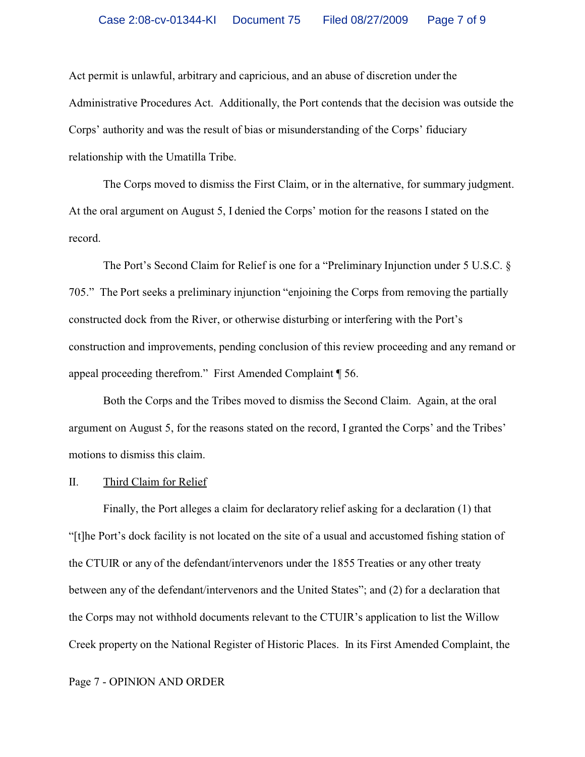Act permit is unlawful, arbitrary and capricious, and an abuse of discretion under the Administrative Procedures Act. Additionally, the Port contends that the decision was outside the Corps' authority and was the result of bias or misunderstanding of the Corps' fiduciary relationship with the Umatilla Tribe.

The Corps moved to dismiss the First Claim, or in the alternative, for summary judgment. At the oral argument on August 5, I denied the Corps' motion for the reasons I stated on the record.

The Port's Second Claim for Relief is one for a "Preliminary Injunction under 5 U.S.C. § 705." The Port seeks a preliminary injunction "enjoining the Corps from removing the partially constructed dock from the River, or otherwise disturbing or interfering with the Port's construction and improvements, pending conclusion of this review proceeding and any remand or appeal proceeding therefrom." First Amended Complaint ¶ 56.

Both the Corps and the Tribes moved to dismiss the Second Claim. Again, at the oral argument on August 5, for the reasons stated on the record, I granted the Corps' and the Tribes' motions to dismiss this claim.

#### II. Third Claim for Relief

Finally, the Port alleges a claim for declaratory relief asking for a declaration (1) that "[t]he Port's dock facility is not located on the site of a usual and accustomed fishing station of the CTUIR or any of the defendant/intervenors under the 1855 Treaties or any other treaty between any of the defendant/intervenors and the United States"; and (2) for a declaration that the Corps may not withhold documents relevant to the CTUIR's application to list the Willow Creek property on the National Register of Historic Places. In its First Amended Complaint, the

#### Page 7 - OPINION AND ORDER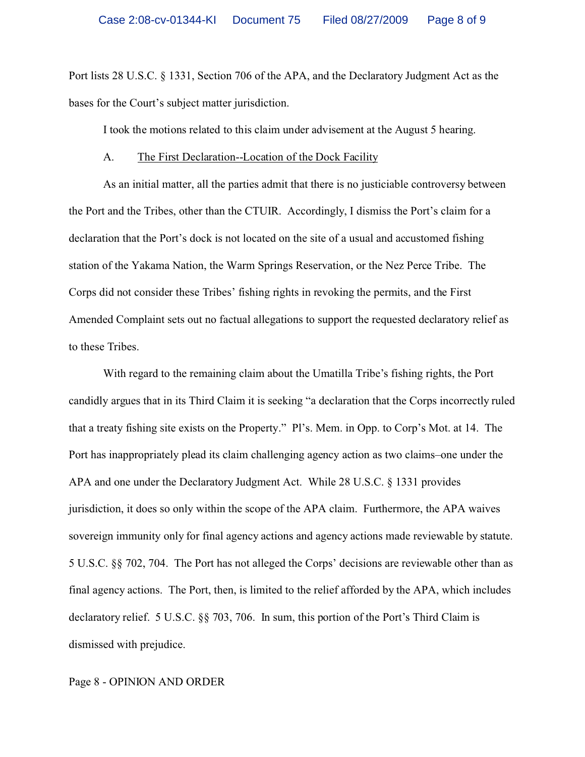Port lists 28 U.S.C. § 1331, Section 706 of the APA, and the Declaratory Judgment Act as the bases for the Court's subject matter jurisdiction.

I took the motions related to this claim under advisement at the August 5 hearing.

### A. The First Declaration--Location of the Dock Facility

As an initial matter, all the parties admit that there is no justiciable controversy between the Port and the Tribes, other than the CTUIR. Accordingly, I dismiss the Port's claim for a declaration that the Port's dock is not located on the site of a usual and accustomed fishing station of the Yakama Nation, the Warm Springs Reservation, or the Nez Perce Tribe. The Corps did not consider these Tribes' fishing rights in revoking the permits, and the First Amended Complaint sets out no factual allegations to support the requested declaratory relief as to these Tribes.

With regard to the remaining claim about the Umatilla Tribe's fishing rights, the Port candidly argues that in its Third Claim it is seeking "a declaration that the Corps incorrectly ruled that a treaty fishing site exists on the Property." Pl's. Mem. in Opp. to Corp's Mot. at 14. The Port has inappropriately plead its claim challenging agency action as two claims–one under the APA and one under the Declaratory Judgment Act. While 28 U.S.C. § 1331 provides jurisdiction, it does so only within the scope of the APA claim. Furthermore, the APA waives sovereign immunity only for final agency actions and agency actions made reviewable by statute. 5 U.S.C. §§ 702, 704. The Port has not alleged the Corps' decisions are reviewable other than as final agency actions. The Port, then, is limited to the relief afforded by the APA, which includes declaratory relief. 5 U.S.C. §§ 703, 706. In sum, this portion of the Port's Third Claim is dismissed with prejudice.

### Page 8 - OPINION AND ORDER